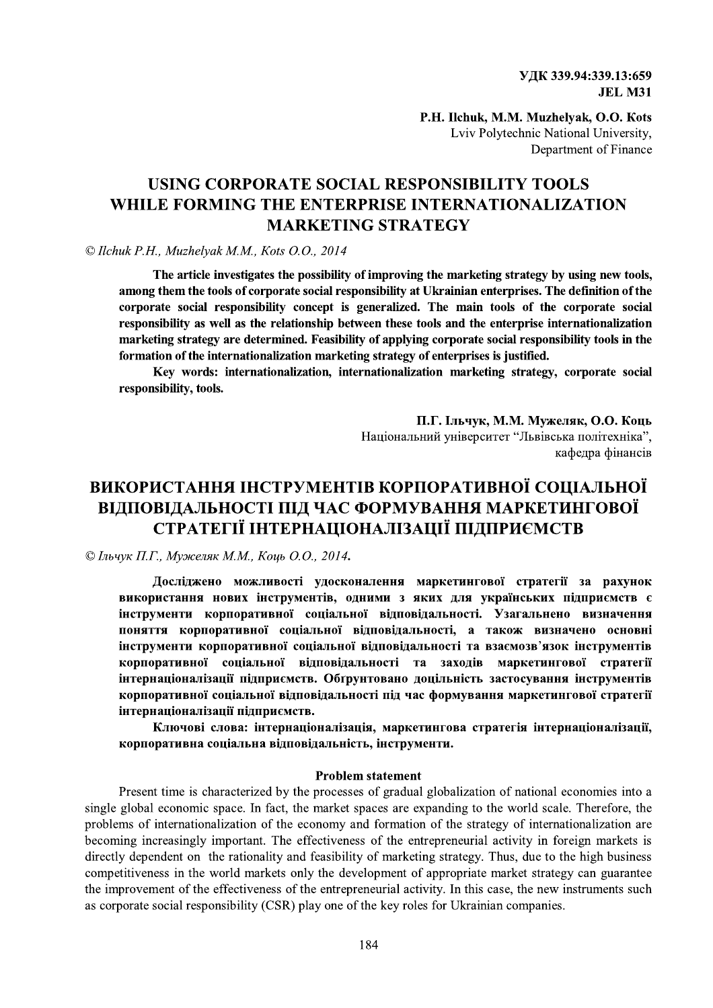УДК 339.94:339.13:659 **JEL M31** 

P.H. Ilchuk, M.M. Muzhelvak, O.O. Kots Lviv Polytechnic National University, Department of Finance

## USING CORPORATE SOCIAL RESPONSIBILITY TOOLS WHILE FORMING THE ENTERPRISE INTERNATIONALIZATION **MARKETING STRATEGY**

#### © Ilchuk P.H., Muzhelyak M.M., Kots O.O., 2014

The article investigates the possibility of improving the marketing strategy by using new tools, among them the tools of corporate social responsibility at Ukrainian enterprises. The definition of the corporate social responsibility concept is generalized. The main tools of the corporate social responsibility as well as the relationship between these tools and the enterprise internationalization marketing strategy are determined. Feasibility of applying corporate social responsibility tools in the formation of the internationalization marketing strategy of enterprises is justified.

Key words: internationalization, internationalization marketing strategy, corporate social responsibility, tools.

> П.Г. Ільчук, М.М. Мужеляк, О.О. Коць Національний університет "Львівська політехніка", кафедра фінансів

# ВИКОРИСТАННЯ ІНСТРУМЕНТІВ КОРПОРАТИВНОЇ СОЦІАЛЬНОЇ ВІДПОВІДАЛЬНОСТІ ПІД ЧАС ФОРМУВАННЯ МАРКЕТИНГОВОЇ СТРАТЕГІЇ ІНТЕРНАЦІОНАЛІЗАЦІЇ ПІДПРИЄМСТВ

© Ільчук П.Г., Мужеляк М.М., Коць О.О., 2014.

Досліджено можливості удосконалення маркетингової стратегії за рахунок використання нових інструментів, одними з яких для українських підприємств є інструменти корпоративної соціальної відповідальності. Узагальнено визначення поняття корпоративної соціальної відповідальності, а також визначено основні інструменти корпоративної соціальної відповідальності та взаємозв'язок інструментів корпоративної соціальної відповідальності та заходів маркетингової стратегії інтернаціоналізації підприємств. Обґрунтовано доцільність застосування інструментів корпоративної соціальної відповідальності під час формування маркетингової стратегії інтернаціоналізації підприємств.

Ключові слова: інтернаціоналізація, маркетингова стратегія інтернаціоналізації, корпоративна соціальна відповідальність, інструменти.

#### **Problem statement**

Present time is characterized by the processes of gradual globalization of national economies into a single global economic space. In fact, the market spaces are expanding to the world scale. Therefore, the problems of internationalization of the economy and formation of the strategy of internationalization are becoming increasingly important. The effectiveness of the entrepreneurial activity in foreign markets is directly dependent on the rationality and feasibility of marketing strategy. Thus, due to the high business competitiveness in the world markets only the development of appropriate market strategy can guarantee the improvement of the effectiveness of the entrepreneurial activity. In this case, the new instruments such as corporate social responsibility (CSR) play one of the key roles for Ukrainian companies.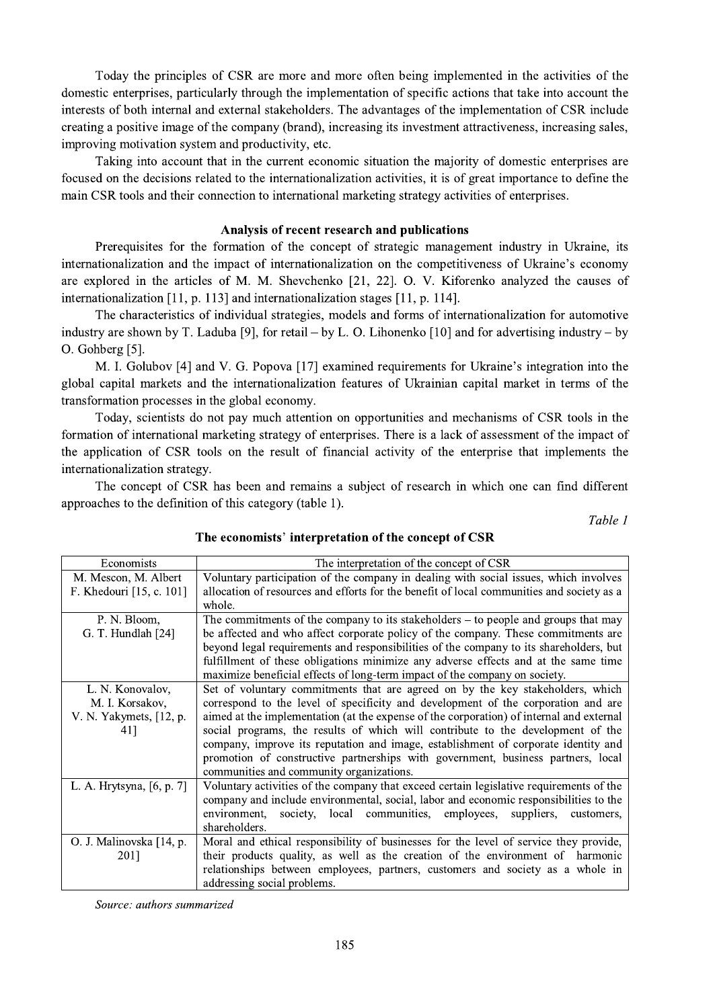Today the principles of CSR are more and more often being implemented in the activities of the domestic enterprises, particularly through the implementation of specific actions that take into account the interests of both internal and external stakeholders. The advantages of the implementation of CSR include creating a positive image of the company (brand), increasing its investment attractiveness, increasing sales, improving motivation system and productivity, etc.

Taking into account that in the current economic situation the majority of domestic enterprises are focused on the decisions related to the internationalization activities, it is of great importance to define the main CSR tools and their connection to international marketing strategy activities of enterprises.

### Analysis of recent research and publications

Prerequisites for the formation of the concept of strategic management industry in Ukraine, its internationalization and the impact of internationalization on the competitiveness of Ukraine's economy are explored in the articles of M. M. Shevchenko [21, 22]. O. V. Kiforenko analyzed the causes of internationalization [11, p. 113] and internationalization stages [11, p. 114].

The characteristics of individual strategies, models and forms of internationalization for automotive industry are shown by T. Laduba [9], for retail – by L. O. Lihonenko [10] and for advertising industry – by O. Gohberg [5].

M. I. Golubov [4] and V. G. Popova [17] examined requirements for Ukraine's integration into the global capital markets and the internationalization features of Ukrainian capital market in terms of the transformation processes in the global economy.

Today, scientists do not pay much attention on opportunities and mechanisms of CSR tools in the formation of international marketing strategy of enterprises. There is a lack of assessment of the impact of the application of CSR tools on the result of financial activity of the enterprise that implements the internationalization strategy.

The concept of CSR has been and remains a subject of research in which one can find different approaches to the definition of this category (table 1).

Table 1

| Economists                | The interpretation of the concept of CSR                                                  |  |  |  |  |  |  |  |
|---------------------------|-------------------------------------------------------------------------------------------|--|--|--|--|--|--|--|
| M. Mescon, M. Albert      | Voluntary participation of the company in dealing with social issues, which involves      |  |  |  |  |  |  |  |
| F. Khedouri [15, c. 101]  | allocation of resources and efforts for the benefit of local communities and society as a |  |  |  |  |  |  |  |
|                           | whole.                                                                                    |  |  |  |  |  |  |  |
| P. N. Bloom,              | The commitments of the company to its stakeholders $-$ to people and groups that may      |  |  |  |  |  |  |  |
| G. T. Hundlah [24]        | be affected and who affect corporate policy of the company. These commitments are         |  |  |  |  |  |  |  |
|                           | beyond legal requirements and responsibilities of the company to its shareholders, but    |  |  |  |  |  |  |  |
|                           | fulfillment of these obligations minimize any adverse effects and at the same time        |  |  |  |  |  |  |  |
|                           | maximize beneficial effects of long-term impact of the company on society.                |  |  |  |  |  |  |  |
| L. N. Konovalov,          | Set of voluntary commitments that are agreed on by the key stakeholders, which            |  |  |  |  |  |  |  |
| M. I. Korsakov,           | correspond to the level of specificity and development of the corporation and are         |  |  |  |  |  |  |  |
| V. N. Yakymets, [12, p.   | aimed at the implementation (at the expense of the corporation) of internal and external  |  |  |  |  |  |  |  |
| 41]                       | social programs, the results of which will contribute to the development of the           |  |  |  |  |  |  |  |
|                           | company, improve its reputation and image, establishment of corporate identity and        |  |  |  |  |  |  |  |
|                           | promotion of constructive partnerships with government, business partners, local          |  |  |  |  |  |  |  |
|                           | communities and community organizations.                                                  |  |  |  |  |  |  |  |
| L. A. Hrytsyna, [6, p. 7] | Voluntary activities of the company that exceed certain legislative requirements of the   |  |  |  |  |  |  |  |
|                           | company and include environmental, social, labor and economic responsibilities to the     |  |  |  |  |  |  |  |
|                           | society, local communities, employees,<br>environment,<br>suppliers,<br>customers,        |  |  |  |  |  |  |  |
|                           | shareholders.                                                                             |  |  |  |  |  |  |  |
| O. J. Malinovska [14, p.  | Moral and ethical responsibility of businesses for the level of service they provide,     |  |  |  |  |  |  |  |
| 2011                      | their products quality, as well as the creation of the environment of harmonic            |  |  |  |  |  |  |  |
|                           | relationships between employees, partners, customers and society as a whole in            |  |  |  |  |  |  |  |
|                           | addressing social problems.                                                               |  |  |  |  |  |  |  |

## The economists' interpretation of the concept of CSR

Source: authors summarized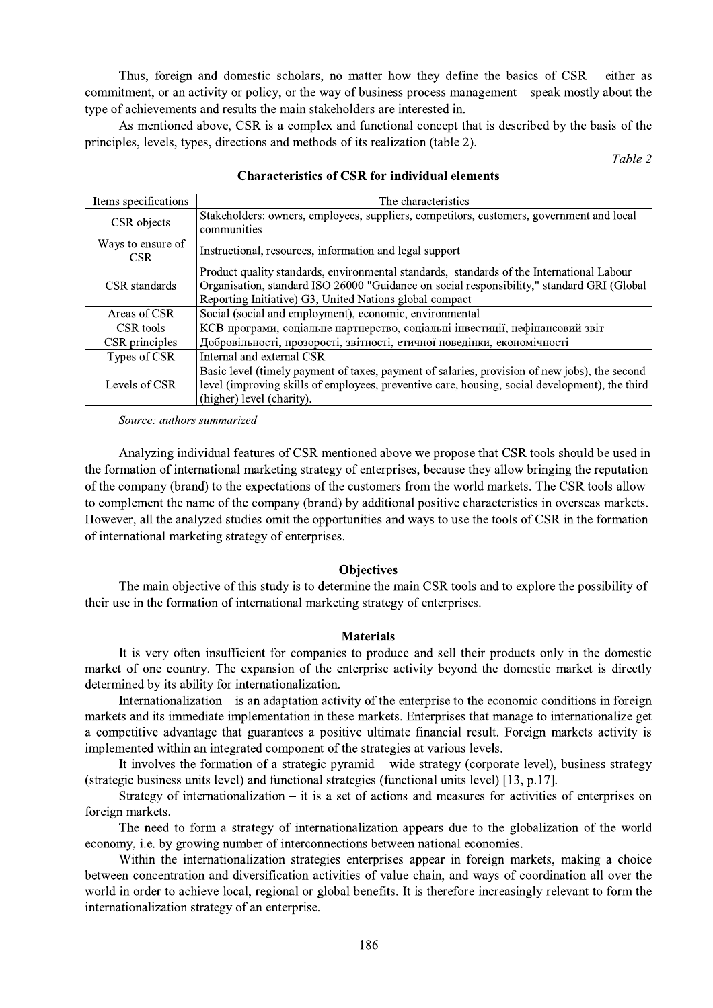Thus, foreign and domestic scholars, no matter how they define the basics of  $CSR$  – either as commitment, or an activity or policy, or the way of business process management – speak mostly about the type of achievements and results the main stakeholders are interested in.

As mentioned above, CSR is a complex and functional concept that is described by the basis of the principles, levels, types, directions and methods of its realization (table 2).

Table 2

| Items specifications      | The characteristics                                                                                                                                                                                                                                |  |  |  |  |
|---------------------------|----------------------------------------------------------------------------------------------------------------------------------------------------------------------------------------------------------------------------------------------------|--|--|--|--|
| CSR objects               | Stakeholders: owners, employees, suppliers, competitors, customers, government and local<br>communities                                                                                                                                            |  |  |  |  |
| Ways to ensure of<br>CSR. | Instructional, resources, information and legal support                                                                                                                                                                                            |  |  |  |  |
| CSR standards             | Product quality standards, environmental standards, standards of the International Labour<br>Organisation, standard ISO 26000 "Guidance on social responsibility," standard GRI (Global<br>Reporting Initiative) G3, United Nations global compact |  |  |  |  |
| Areas of CSR              | Social (social and employment), economic, environmental                                                                                                                                                                                            |  |  |  |  |
| CSR tools                 | КСВ-програми, соціальне партнерство, соціальні інвестиції, нефінансовий звіт                                                                                                                                                                       |  |  |  |  |
| CSR principles            | Добровільності, прозорості, звітності, етичної поведінки, економічності                                                                                                                                                                            |  |  |  |  |
| Types of CSR              | Internal and external CSR                                                                                                                                                                                                                          |  |  |  |  |
| Levels of CSR             | Basic level (timely payment of taxes, payment of salaries, provision of new jobs), the second<br>level (improving skills of employees, preventive care, housing, social development), the third<br>(higher) level (charity).                       |  |  |  |  |

### **Characteristics of CSR for individual elements**

Source: authors summarized

Analyzing individual features of CSR mentioned above we propose that CSR tools should be used in the formation of international marketing strategy of enterprises, because they allow bringing the reputation of the company (brand) to the expectations of the customers from the world markets. The CSR tools allow to complement the name of the company (brand) by additional positive characteristics in overseas markets. However, all the analyzed studies omit the opportunities and ways to use the tools of CSR in the formation of international marketing strategy of enterprises.

## **Objectives**

The main objective of this study is to determine the main CSR tools and to explore the possibility of their use in the formation of international marketing strategy of enterprises.

## **Materials**

It is very often insufficient for companies to produce and sell their products only in the domestic market of one country. The expansion of the enterprise activity beyond the domestic market is directly determined by its ability for internationalization.

Internationalization  $-$  is an adaptation activity of the enterprise to the economic conditions in foreign markets and its immediate implementation in these markets. Enterprises that manage to internationalize get a competitive advantage that guarantees a positive ultimate financial result. Foreign markets activity is implemented within an integrated component of the strategies at various levels.

It involves the formation of a strategic pyramid – wide strategy (corporate level), business strategy (strategic business units level) and functional strategies (functional units level) [13, p.17].

Strategy of internationalization  $-$  it is a set of actions and measures for activities of enterprises on foreign markets.

The need to form a strategy of internationalization appears due to the globalization of the world economy, i.e. by growing number of interconnections between national economies.

Within the internationalization strategies enterprises appear in foreign markets, making a choice between concentration and diversification activities of value chain, and ways of coordination all over the world in order to achieve local, regional or global benefits. It is therefore increasingly relevant to form the internationalization strategy of an enterprise.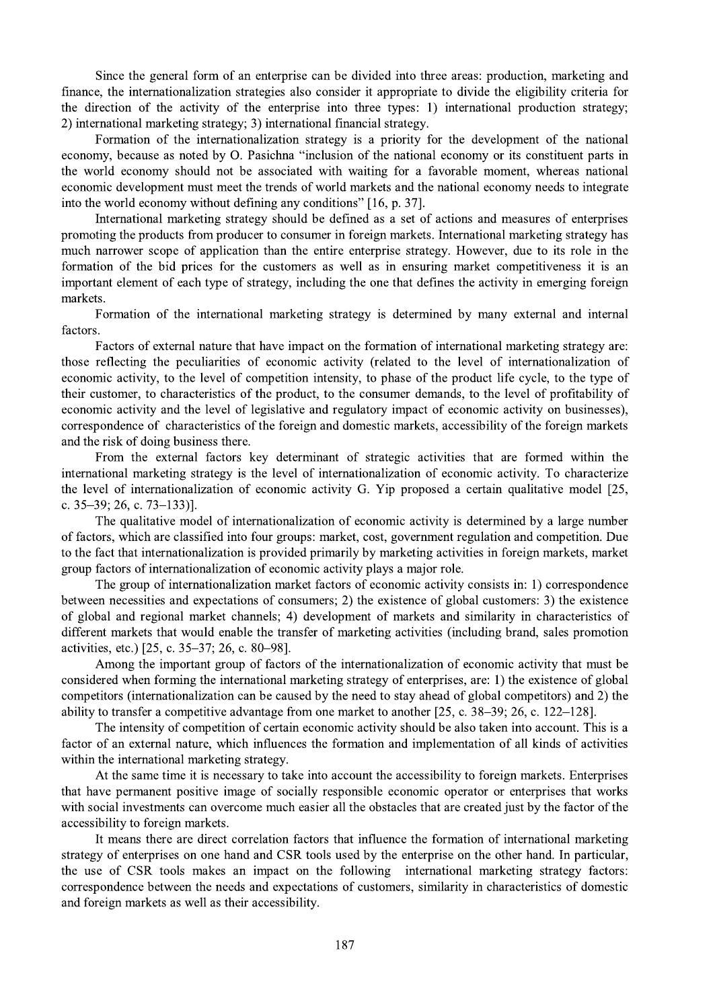Since the general form of an enterprise can be divided into three areas: production, marketing and finance, the internationalization strategies also consider it appropriate to divide the eligibility criteria for the direction of the activity of the enterprise into three types: 1) international production strategy; 2) international marketing strategy; 3) international financial strategy.

Formation of the internationalization strategy is a priority for the development of the national economy, because as noted by O. Pasichna "inclusion of the national economy or its constituent parts in the world economy should not be associated with waiting for a favorable moment, whereas national economic development must meet the trends of world markets and the national economy needs to integrate into the world economy without defining any conditions" [16, p. 37].

International marketing strategy should be defined as a set of actions and measures of enterprises promoting the products from producer to consumer in foreign markets. International marketing strategy has much narrower scope of application than the entire enterprise strategy. However, due to its role in the formation of the bid prices for the customers as well as in ensuring market competitiveness it is an important element of each type of strategy, including the one that defines the activity in emerging foreign markets.

Formation of the international marketing strategy is determined by many external and internal factors.

Factors of external nature that have impact on the formation of international marketing strategy are: those reflecting the peculiarities of economic activity (related to the level of internationalization of economic activity, to the level of competition intensity, to phase of the product life cycle, to the type of their customer, to characteristics of the product, to the consumer demands, to the level of profitability of economic activity and the level of legislative and regulatory impact of economic activity on businesses), correspondence of characteristics of the foreign and domestic markets, accessibility of the foreign markets and the risk of doing business there.

From the external factors key determinant of strategic activities that are formed within the international marketing strategy is the level of internationalization of economic activity. To characterize the level of internationalization of economic activity G. Yip proposed a certain qualitative model [25, c.  $35-39$ ; 26, c.  $73-133$ ].

The qualitative model of internationalization of economic activity is determined by a large number of factors, which are classified into four groups: market, cost, government regulation and competition. Due to the fact that internationalization is provided primarily by marketing activities in foreign markets, market group factors of internationalization of economic activity plays a major role.

The group of internationalization market factors of economic activity consists in: 1) correspondence between necessities and expectations of consumers; 2) the existence of global customers: 3) the existence of global and regional market channels; 4) development of markets and similarity in characteristics of different markets that would enable the transfer of marketing activities (including brand, sales promotion activities, etc.) [25, c. 35–37; 26, c. 80–98].

Among the important group of factors of the internationalization of economic activity that must be considered when forming the international marketing strategy of enterprises, are: 1) the existence of global competitors (internationalization can be caused by the need to stay ahead of global competitors) and 2) the ability to transfer a competitive advantage from one market to another  $[25, c. 38-39; 26, c. 122-128]$ .

The intensity of competition of certain economic activity should be also taken into account. This is a factor of an external nature, which influences the formation and implementation of all kinds of activities within the international marketing strategy.

At the same time it is necessary to take into account the accessibility to foreign markets. Enterprises that have permanent positive image of socially responsible economic operator or enterprises that works with social investments can overcome much easier all the obstacles that are created just by the factor of the accessibility to foreign markets.

It means there are direct correlation factors that influence the formation of international marketing strategy of enterprises on one hand and CSR tools used by the enterprise on the other hand. In particular, the use of CSR tools makes an impact on the following international marketing strategy factors: correspondence between the needs and expectations of customers, similarity in characteristics of domestic and foreign markets as well as their accessibility.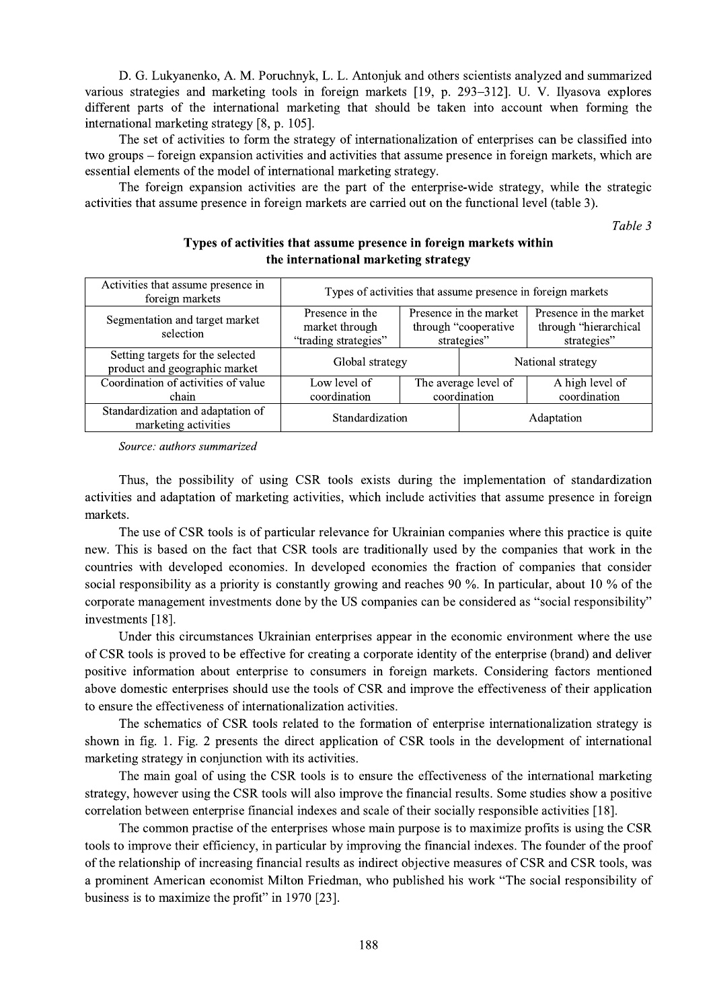D. G. Lukyanenko, A. M. Poruchnyk, L. L. Antonjuk and others scientists analyzed and summarized various strategies and marketing tools in foreign markets [19, p. 293–312]. U. V. Ilyasova explores different parts of the international marketing that should be taken into account when forming the international marketing strategy [8, p. 105].

The set of activities to form the strategy of internationalization of enterprises can be classified into two groups – foreign expansion activities and activities that assume presence in foreign markets, which are essential elements of the model of international marketing strategy.

The foreign expansion activities are the part of the enterprise-wide strategy, while the strategic activities that assume presence in foreign markets are carried out on the functional level (table 3).

Table 3

| the filter hational marketing strategy                            |                                                             |                                                                |                   |                                                                |  |  |  |  |  |  |
|-------------------------------------------------------------------|-------------------------------------------------------------|----------------------------------------------------------------|-------------------|----------------------------------------------------------------|--|--|--|--|--|--|
| Activities that assume presence in<br>foreign markets             | Types of activities that assume presence in foreign markets |                                                                |                   |                                                                |  |  |  |  |  |  |
| Segmentation and target market<br>selection                       | Presence in the<br>market through<br>"trading strategies"   | Presence in the market<br>through "cooperative"<br>strategies" |                   | Presence in the market<br>through "hierarchical<br>strategies" |  |  |  |  |  |  |
| Setting targets for the selected<br>product and geographic market | Global strategy                                             |                                                                | National strategy |                                                                |  |  |  |  |  |  |
| Coordination of activities of value<br>chain                      | Low level of<br>coordination                                | The average level of<br>coordination                           |                   | A high level of<br>coordination                                |  |  |  |  |  |  |
| Standardization and adaptation of<br>marketing activities         | Standardization                                             |                                                                | Adaptation        |                                                                |  |  |  |  |  |  |

## Types of activities that assume presence in foreign markets within the international marketing strategy

Source: authors summarized

Thus, the possibility of using CSR tools exists during the implementation of standardization activities and adaptation of marketing activities, which include activities that assume presence in foreign markets.

The use of CSR tools is of particular relevance for Ukrainian companies where this practice is quite new. This is based on the fact that CSR tools are traditionally used by the companies that work in the countries with developed economies. In developed economies the fraction of companies that consider social responsibility as a priority is constantly growing and reaches 90 %. In particular, about 10 % of the corporate management investments done by the US companies can be considered as "social responsibility" investments [18].

Under this circumstances Ukrainian enterprises appear in the economic environment where the use of CSR tools is proved to be effective for creating a corporate identity of the enterprise (brand) and deliver positive information about enterprise to consumers in foreign markets. Considering factors mentioned above domestic enterprises should use the tools of CSR and improve the effectiveness of their application to ensure the effectiveness of internationalization activities.

The schematics of CSR tools related to the formation of enterprise internationalization strategy is shown in fig. 1. Fig. 2 presents the direct application of CSR tools in the development of international marketing strategy in conjunction with its activities.

The main goal of using the CSR tools is to ensure the effectiveness of the international marketing strategy, however using the CSR tools will also improve the financial results. Some studies show a positive correlation between enterprise financial indexes and scale of their socially responsible activities [18].

The common practise of the enterprises whose main purpose is to maximize profits is using the CSR tools to improve their efficiency, in particular by improving the financial indexes. The founder of the proof of the relationship of increasing financial results as indirect objective measures of CSR and CSR tools, was a prominent American economist Milton Friedman, who published his work "The social responsibility of business is to maximize the profit" in 1970 [23].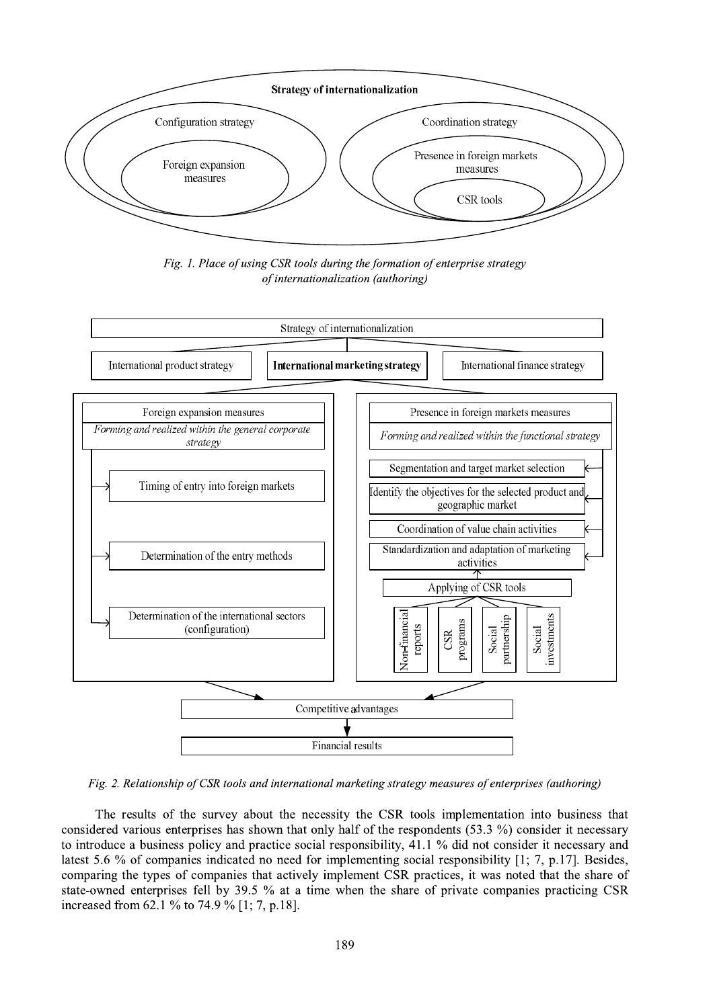

Fig. 1. Place of using CSR tools during the formation of enterprise strategy of internationalization (authoring)



Fig. 2. Relationship of CSR tools and international marketing strategy measures of enterprises (authoring)

The results of the survey about the necessity the CSR tools implementation into business that considered various enterprises has shown that only half of the respondents (53.3 %) consider it necessary to introduce a business policy and practice social responsibility, 41.1 % did not consider it necessary and latest 5.6 % of companies indicated no need for implementing social responsibility [1; 7, p.17]. Besides, comparing the types of companies that actively implement CSR practices, it was noted that the share of state-owned enterprises fell by 39.5 % at a time when the share of private companies practicing CSR increased from 62.1 % to 74.9 % [1; 7, p.18].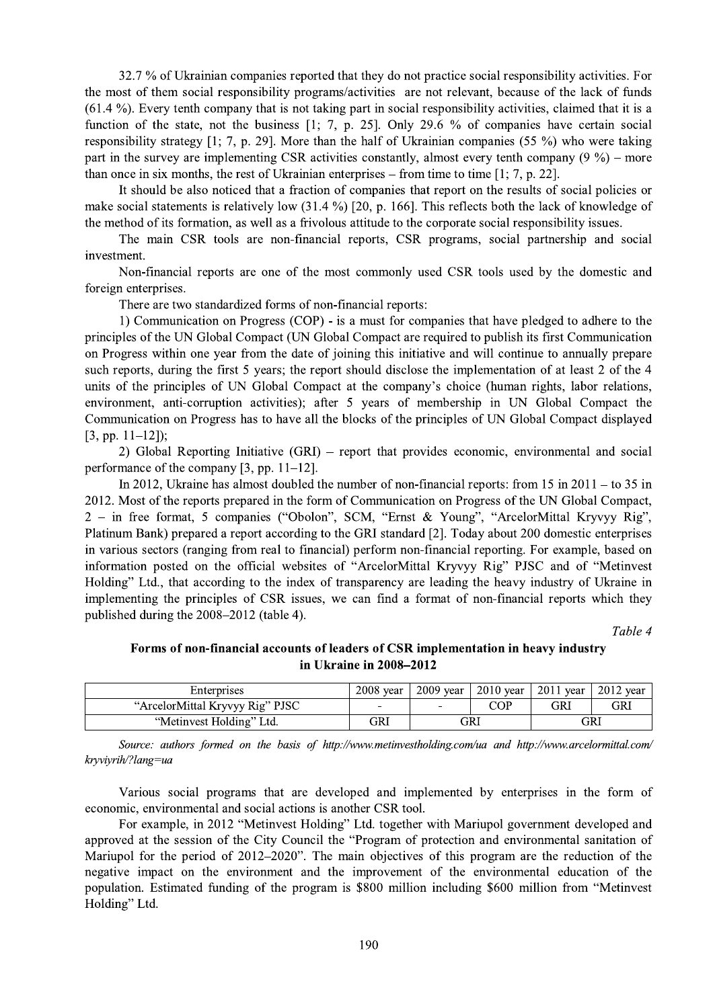32.7 % of Ukrainian companies reported that they do not practice social responsibility activities. For the most of them social responsibility programs/activities are not relevant, because of the lack of funds (61.4 %). Every tenth company that is not taking part in social responsibility activities, claimed that it is a function of the state, not the business  $[1; 7, p. 25]$ . Only 29.6 % of companies have certain social responsibility strategy [1; 7, p. 29]. More than the half of Ukrainian companies (55 %) who were taking part in the survey are implementing CSR activities constantly, almost every tenth company  $(9\%')$  – more than once in six months, the rest of Ukrainian enterprises – from time to time  $[1, 7, p. 22]$ .

It should be also noticed that a fraction of companies that report on the results of social policies or make social statements is relatively low  $(31.4\%)$  [20, p. 166]. This reflects both the lack of knowledge of the method of its formation, as well as a frivolous attitude to the corporate social responsibility issues.

The main CSR tools are non-financial reports, CSR programs, social partnership and social investment.

Non-financial reports are one of the most commonly used CSR tools used by the domestic and foreign enterprises.

There are two standardized forms of non-financial reports:

1) Communication on Progress (COP) - is a must for companies that have pledged to adhere to the principles of the UN Global Compact (UN Global Compact are required to publish its first Communication on Progress within one year from the date of joining this initiative and will continue to annually prepare such reports, during the first 5 years; the report should disclose the implementation of at least 2 of the 4 units of the principles of UN Global Compact at the company's choice (human rights, labor relations, environment, anti-corruption activities); after 5 years of membership in UN Global Compact the Communication on Progress has to have all the blocks of the principles of UN Global Compact displayed  $[3, pp. 11-12];$ 

2) Global Reporting Initiative (GRI) – report that provides economic, environmental and social performance of the company [3, pp.  $11-12$ ].

In 2012, Ukraine has almost doubled the number of non-financial reports: from 15 in  $2011 -$  to 35 in 2012. Most of the reports prepared in the form of Communication on Progress of the UN Global Compact, 2 - in free format, 5 companies ("Obolon", SCM, "Ernst & Young", "ArcelorMittal Kryvyy Rig", Platinum Bank) prepared a report according to the GRI standard [2]. Today about 200 domestic enterprises in various sectors (ranging from real to financial) perform non-financial reporting. For example, based on information posted on the official websites of "ArcelorMittal Kryvyy Rig" PJSC and of "Metinvest Holding" Ltd., that according to the index of transparency are leading the heavy industry of Ukraine in implementing the principles of CSR issues, we can find a format of non-financial reports which they published during the 2008–2012 (table 4).

Table 4

## Forms of non-financial accounts of leaders of CSR implementation in heavy industry in Ukraine in 2008-2012

| Enterprises                     | $2008$ year | $2009$ year | $2010$ vear | $2011$ year | $2012$ vear |
|---------------------------------|-------------|-------------|-------------|-------------|-------------|
| "ArcelorMittal Kryvyy Rig" PJSC | -           |             | COP         | GRI         | GRI         |
| "Metinvest Holding" Ltd.        | GRI         | GRI         |             | GRI         |             |

Source: authors formed on the basis of http://www.metinvestholding.com/ua and http://www.arcelormittal.com/ kryviyrih/?lang=ua

Various social programs that are developed and implemented by enterprises in the form of economic, environmental and social actions is another CSR tool.

For example, in 2012 "Metinvest Holding" Ltd. together with Mariupol government developed and approved at the session of the City Council the "Program of protection and environmental sanitation of Mariupol for the period of 2012–2020". The main objectives of this program are the reduction of the negative impact on the environment and the improvement of the environmental education of the population. Estimated funding of the program is \$800 million including \$600 million from "Metinvest" Holding" Ltd.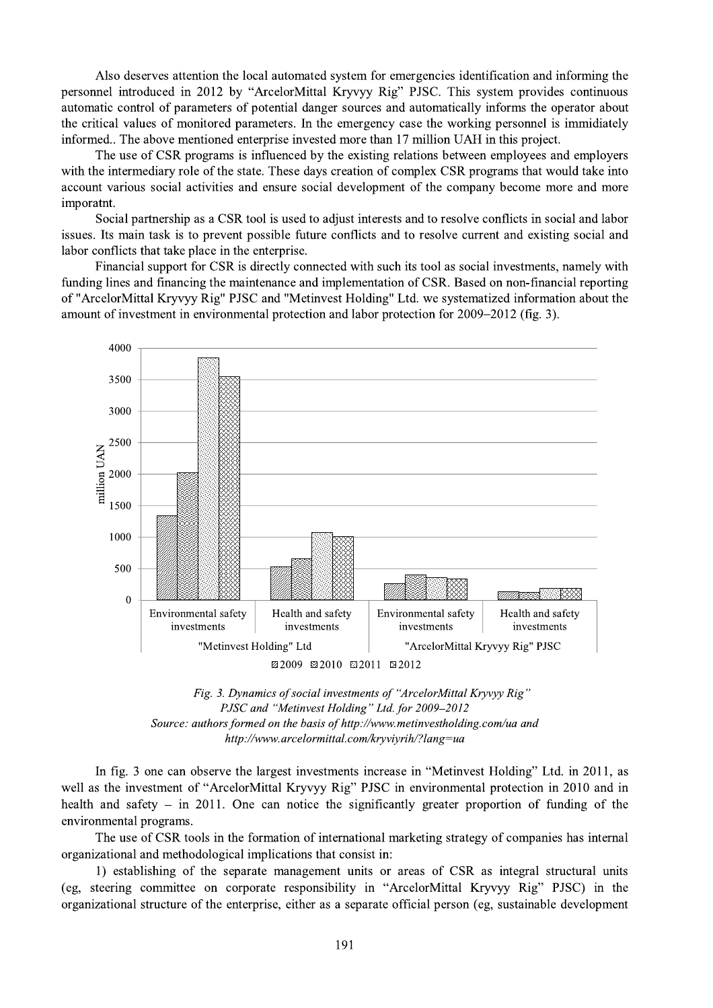Also deserves attention the local automated system for emergencies identification and informing the personnel introduced in 2012 by "ArcelorMittal Kryvyy Rig" PJSC. This system provides continuous automatic control of parameters of potential danger sources and automatically informs the operator about the critical values of monitored parameters. In the emergency case the working personnel is immidiately informed.. The above mentioned enterprise invested more than 17 million UAH in this project.

The use of CSR programs is influenced by the existing relations between employees and employers with the intermediary role of the state. These days creation of complex CSR programs that would take into account various social activities and ensure social development of the company become more and more imporatnt.

Social partnership as a CSR tool is used to adjust interests and to resolve conflicts in social and labor issues. Its main task is to prevent possible future conflicts and to resolve current and existing social and labor conflicts that take place in the enterprise.

Financial support for CSR is directly connected with such its tool as social investments, namely with funding lines and financing the maintenance and implementation of CSR. Based on non-financial reporting of "ArcelorMittal Kryvyy Rig" PJSC and "Metinvest Holding" Ltd. we systematized information about the amount of investment in environmental protection and labor protection for 2009–2012 (fig. 3).



Fig. 3. Dynamics of social investments of "ArcelorMittal Kryvyy Rig" PJSC and "Metinvest Holding" Ltd. for 2009-2012 Source: authors formed on the basis of http://www.metinvestholding.com/ua and http://www.arcelormittal.com/kryviyrih/?lang=ua

In fig. 3 one can observe the largest investments increase in "Metinvest Holding" Ltd. in 2011, as well as the investment of "ArcelorMittal Kryvyy Rig" PJSC in environmental protection in 2010 and in health and safety  $-$  in 2011. One can notice the significantly greater proportion of funding of the environmental programs.

The use of CSR tools in the formation of international marketing strategy of companies has internal organizational and methodological implications that consist in:

1) establishing of the separate management units or areas of CSR as integral structural units (eg, steering committee on corporate responsibility in "ArcelorMittal Kryvyy Rig" PJSC) in the organizational structure of the enterprise, either as a separate official person (eg, sustainable development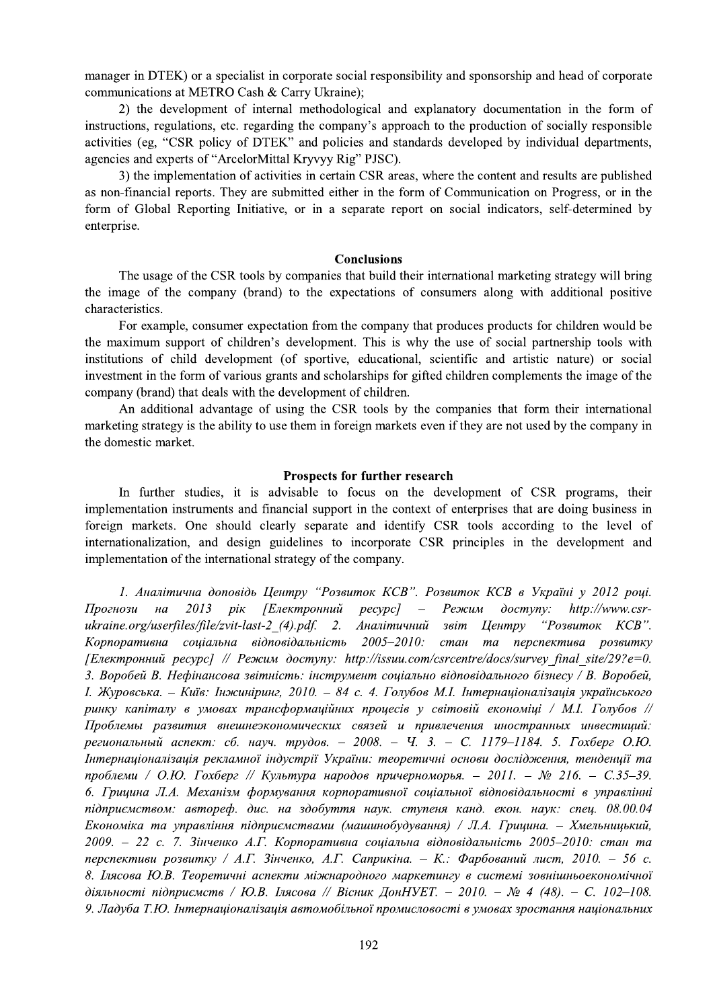manager in DTEK) or a specialist in corporate social responsibility and sponsorship and head of corporate communications at METRO Cash & Carry Ukraine);

2) the development of internal methodological and explanatory documentation in the form of instructions, regulations, etc. regarding the company's approach to the production of socially responsible activities (eg, "CSR policy of DTEK" and policies and standards developed by individual departments, agencies and experts of "ArcelorMittal Kryvyy Rig" PJSC).

3) the implementation of activities in certain CSR areas, where the content and results are published as non-financial reports. They are submitted either in the form of Communication on Progress, or in the form of Global Reporting Initiative, or in a separate report on social indicators, self-determined by enterprise.

#### **Conclusions**

The usage of the CSR tools by companies that build their international marketing strategy will bring the image of the company (brand) to the expectations of consumers along with additional positive characteristics.

For example, consumer expectation from the company that produces products for children would be the maximum support of children's development. This is why the use of social partnership tools with institutions of child development (of sportive, educational, scientific and artistic nature) or social investment in the form of various grants and scholarships for gifted children complements the image of the company (brand) that deals with the development of children.

An additional advantage of using the CSR tools by the companies that form their international marketing strategy is the ability to use them in foreign markets even if they are not used by the company in the domestic market.

#### **Prospects for further research**

In further studies, it is advisable to focus on the development of CSR programs, their implementation instruments and financial support in the context of enterprises that are doing business in foreign markets. One should clearly separate and identify CSR tools according to the level of internationalization, and design guidelines to incorporate CSR principles in the development and implementation of the international strategy of the company.

1. Аналітична доповідь Центру "Розвиток КСВ". Розвиток КСВ в Україні у 2012 році. 2013 рік [Електронний  $pecypc$ ]  $\overline{\phantom{a}}$ Режим  $\partial$ ocmyny: http://www.csr-Прогнози  $Ha$ ukraine.org/userfiles/file/zvit-last-2 (4).pdf. 2. Аналітичний звіт **Центру** "Розвиток КСВ". Корпоративна соціальна відповідальність 2005-2010: стан та перспектива розвитку [Електронний ресурс] // Режим доступу: http://issuu.com/csrcentre/docs/survey final site/29?e=0. 3. Воробей В. Нефінансова звітність: інструмент соціально відповідального бізнесу / В. Воробей, І. Журовська. - Київ: Інжиніринг, 2010. - 84 с. 4. Голубов М.І. Інтернаціоналізація українського ринку капіталу в умовах трансформаційних процесів у світовій економіці / М.І. Голубов // Проблемы развития внешнеэкономических связей и привлечения иностранных инвестиций: региональный аспект: сб. науч. трудов. - 2008. - Ч. 3. - С. 1179-1184. 5. Гохберг О.Ю. Інтернаціоналізація рекламної індустрії України: теоретичні основи дослідження, тенденції та проблеми / О.Ю. Гохберг // Культура народов причерноморья. - 2011. - № 216. - С.35-39. 6. Грицина Л.А. Механізм формування корпоративної соціальної відповідальності в управлінні підприємством: автореф. дис. на здобуття наук. ступеня канд. екон. наук: спец. 08.00.04 Економіка та управління підприємствами (машинобудування) / Л.А. Грицина. - Хмельницький, 2009. – 22 с. 7. Зінченко А.Г. Корпоративна соціальна відповідальність 2005–2010: стан та перспективи розвитку / А.Г. Зінченко, А.Г. Саприкіна. – К.: Фарбований лист, 2010. – 56 с. 8. Ілясова Ю.В. Теоретичні аспекти міжнародного маркетингу в системі зовнішньоекономічної діяльності підприємств / Ю.В. Ілясова // Вісник ДонНУЕТ. - 2010. - № 4 (48). - С. 102-108. 9. Ладуба Т.Ю. Інтернаціоналізація автомобільної промисловості в умовах зростання національних